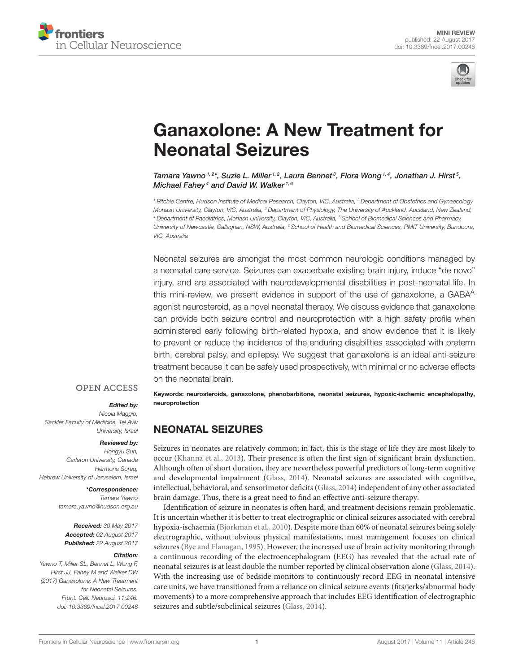



# [Ganaxolone: A New Treatment for](http://journal.frontiersin.org/article/10.3389/fncel.2017.00246/abstract) Neonatal Seizures

[Tamara Yawno](http://loop.frontiersin.org/people/86704/overview)  $1.2$ \*, [Suzie L. Miller](http://loop.frontiersin.org/people/90696/overview)  $1.2$ , [Laura Bennet](http://loop.frontiersin.org/people/467982/overview)  $^3$ , [Flora Wong](http://loop.frontiersin.org/people/63035/overview)  $1.4$ , [Jonathan J. Hirst](http://loop.frontiersin.org/people/457857/overview)  $^5$ , [Michael Fahey](http://loop.frontiersin.org/people/187159/overview)<sup>4</sup> and [David W. Walker](http://loop.frontiersin.org/people/37709/overview)<sup>1, 6</sup>

*<sup>1</sup> Ritchie Centre, Hudson Institute of Medical Research, Clayton, VIC, Australia, <sup>2</sup> Department of Obstetrics and Gynaecology, Monash University, Clayton, VIC, Australia, <sup>3</sup> Department of Physiology, The University of Auckland, Auckland, New Zealand, <sup>4</sup> Department of Paediatrics, Monash University, Clayton, VIC, Australia, <sup>5</sup> School of Biomedical Sciences and Pharmacy, University of Newcastle, Callaghan, NSW, Australia, <sup>6</sup> School of Health and Biomedical Sciences, RMIT University, Bundoora, VIC, Australia*

Neonatal seizures are amongst the most common neurologic conditions managed by a neonatal care service. Seizures can exacerbate existing brain injury, induce "de novo" injury, and are associated with neurodevelopmental disabilities in post-neonatal life. In this mini-review, we present evidence in support of the use of ganaxolone, a GABA<sup>A</sup> agonist neurosteroid, as a novel neonatal therapy. We discuss evidence that ganaxolone can provide both seizure control and neuroprotection with a high safety profile when administered early following birth-related hypoxia, and show evidence that it is likely to prevent or reduce the incidence of the enduring disabilities associated with preterm birth, cerebral palsy, and epilepsy. We suggest that ganaxolone is an ideal anti-seizure treatment because it can be safely used prospectively, with minimal or no adverse effects on the neonatal brain.

#### **OPEN ACCESS**

#### Edited by:

*Nicola Maggio,*

*Sackler Faculty of Medicine, Tel Aviv University, Israel*

#### Reviewed by:

*Hongyu Sun, Carleton University, Canada Hermona Soreq, Hebrew University of Jerusalem, Israel*

#### \*Correspondence:

*Tamara Yawno [tamara.yawno@hudson.org.au](mailto:tamara.yawno@hudson.org.au)*

Received: *30 May 2017* Accepted: *02 August 2017* Published: *22 August 2017*

#### Citation:

*Yawno T, Miller SL, Bennet L, Wong F, Hirst JJ, Fahey M and Walker DW (2017) Ganaxolone: A New Treatment for Neonatal Seizures. Front. Cell. Neurosci. 11:246. doi: [10.3389/fncel.2017.00246](https://doi.org/10.3389/fncel.2017.00246)*

Keywords: neurosteroids, ganaxolone, phenobarbitone, neonatal seizures, hypoxic-ischemic encephalopathy, neuroprotection

### NEONATAL SEIZURES

Seizures in neonates are relatively common; in fact, this is the stage of life they are most likely to occur [\(Khanna et al., 2013\)](#page-5-0). Their presence is often the first sign of significant brain dysfunction. Although often of short duration, they are nevertheless powerful predictors of long-term cognitive and developmental impairment [\(Glass, 2014\)](#page-5-1). Neonatal seizures are associated with cognitive, intellectual, behavioral, and sensorimotor deficits [\(Glass, 2014\)](#page-5-1) independent of any other associated brain damage. Thus, there is a great need to find an effective anti-seizure therapy.

Identification of seizure in neonates is often hard, and treatment decisions remain problematic. It is uncertain whether it is better to treat electrographic or clinical seizures associated with cerebral hypoxia-ischaemia [\(Bjorkman et al., 2010\)](#page-4-0). Despite more than 60% of neonatal seizures being solely electrographic, without obvious physical manifestations, most management focuses on clinical seizures [\(Bye and Flanagan, 1995\)](#page-4-1). However, the increased use of brain activity monitoring through a continuous recording of the electroencephalogram (EEG) has revealed that the actual rate of neonatal seizures is at least double the number reported by clinical observation alone [\(Glass, 2014\)](#page-5-1). With the increasing use of bedside monitors to continuously record EEG in neonatal intensive care units, we have transitioned from a reliance on clinical seizure events (fits/jerks/abnormal body movements) to a more comprehensive approach that includes EEG identification of electrographic seizures and subtle/subclinical seizures [\(Glass, 2014\)](#page-5-1).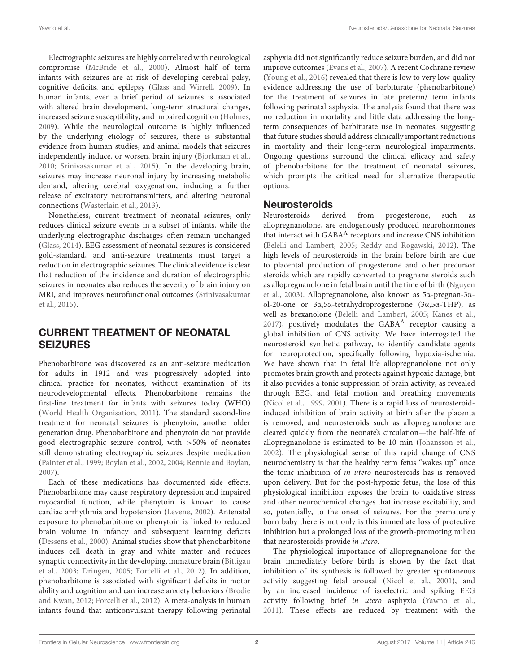Electrographic seizures are highly correlated with neurological compromise [\(McBride et al., 2000\)](#page-5-2). Almost half of term infants with seizures are at risk of developing cerebral palsy, cognitive deficits, and epilepsy [\(Glass and Wirrell, 2009\)](#page-5-3). In human infants, even a brief period of seizures is associated with altered brain development, long-term structural changes, increased seizure susceptibility, and impaired cognition [\(Holmes,](#page-5-4) [2009\)](#page-5-4). While the neurological outcome is highly influenced by the underlying etiology of seizures, there is substantial evidence from human studies, and animal models that seizures independently induce, or worsen, brain injury [\(Bjorkman et al.,](#page-4-0) [2010;](#page-4-0) [Srinivasakumar et al., 2015\)](#page-5-5). In the developing brain, seizures may increase neuronal injury by increasing metabolic demand, altering cerebral oxygenation, inducing a further release of excitatory neurotransmitters, and altering neuronal connections [\(Wasterlain et al., 2013\)](#page-5-6).

Nonetheless, current treatment of neonatal seizures, only reduces clinical seizure events in a subset of infants, while the underlying electrographic discharges often remain unchanged [\(Glass, 2014\)](#page-5-1). EEG assessment of neonatal seizures is considered gold-standard, and anti-seizure treatments must target a reduction in electrographic seizures. The clinical evidence is clear that reduction of the incidence and duration of electrographic seizures in neonates also reduces the severity of brain injury on MRI, and improves neurofunctional outcomes (Srinivasakumar et al., [2015\)](#page-5-5).

# CURRENT TREATMENT OF NEONATAL SEIZURES

Phenobarbitone was discovered as an anti-seizure medication for adults in 1912 and was progressively adopted into clinical practice for neonates, without examination of its neurodevelopmental effects. Phenobarbitone remains the first-line treatment for infants with seizures today (WHO) [\(World Health Organisation, 2011\)](#page-5-7). The standard second-line treatment for neonatal seizures is phenytoin, another older generation drug. Phenobarbitone and phenytoin do not provide good electrographic seizure control, with >50% of neonates still demonstrating electrographic seizures despite medication [\(Painter et al., 1999;](#page-5-8) [Boylan et al., 2002,](#page-4-2) [2004;](#page-4-3) [Rennie and Boylan,](#page-5-9) [2007\)](#page-5-9).

Each of these medications has documented side effects. Phenobarbitone may cause respiratory depression and impaired myocardial function, while phenytoin is known to cause cardiac arrhythmia and hypotension [\(Levene, 2002\)](#page-5-10). Antenatal exposure to phenobarbitone or phenytoin is linked to reduced brain volume in infancy and subsequent learning deficits [\(Dessens et al., 2000\)](#page-4-4). Animal studies show that phenobarbitone induces cell death in gray and white matter and reduces synaptic connectivity in the developing, immature brain (Bittigau et al., [2003;](#page-4-5) [Dringen, 2005;](#page-5-11) [Forcelli et al., 2012\)](#page-5-12). In addition, phenobarbitone is associated with significant deficits in motor ability and cognition and can increase anxiety behaviors (Brodie and Kwan, [2012;](#page-4-6) [Forcelli et al., 2012\)](#page-5-12). A meta-analysis in human infants found that anticonvulsant therapy following perinatal asphyxia did not significantly reduce seizure burden, and did not improve outcomes [\(Evans et al., 2007\)](#page-5-13). A recent Cochrane review [\(Young et al., 2016\)](#page-6-0) revealed that there is low to very low-quality evidence addressing the use of barbiturate (phenobarbitone) for the treatment of seizures in late preterm/ term infants following perinatal asphyxia. The analysis found that there was no reduction in mortality and little data addressing the longterm consequences of barbiturate use in neonates, suggesting that future studies should address clinically important reductions in mortality and their long-term neurological impairments. Ongoing questions surround the clinical efficacy and safety of phenobarbitone for the treatment of neonatal seizures, which prompts the critical need for alternative therapeutic options.

### Neurosteroids

Neurosteroids derived from progesterone, such as allopregnanolone, are endogenously produced neurohormones that interact with GABA<sup>A</sup> receptors and increase CNS inhibition [\(Belelli and Lambert, 2005;](#page-4-7) [Reddy and Rogawski, 2012\)](#page-5-14). The high levels of neurosteroids in the brain before birth are due to placental production of progesterone and other precursor steroids which are rapidly converted to pregnane steroids such as allopregnanolone in fetal brain until the time of birth (Nguyen et al., [2003\)](#page-5-15). Allopregnanolone, also known as 5α-pregnan-3αol-20-one or 3α,5α-tetrahydroprogesterone (3α,5α-THP), as well as brexanolone [\(Belelli and Lambert, 2005;](#page-4-7) [Kanes et al.,](#page-5-16) [2017\)](#page-5-16), positively modulates the  $GABA<sup>A</sup>$  receptor causing a global inhibition of CNS activity. We have interrogated the neurosteroid synthetic pathway, to identify candidate agents for neuroprotection, specifically following hypoxia-ischemia. We have shown that in fetal life allopregnanolone not only promotes brain growth and protects against hypoxic damage, but it also provides a tonic suppression of brain activity, as revealed through EEG, and fetal motion and breathing movements [\(Nicol et al., 1999,](#page-5-17) [2001\)](#page-5-18). There is a rapid loss of neurosteroidinduced inhibition of brain activity at birth after the placenta is removed, and neurosteroids such as allopregnanolone are cleared quickly from the neonate's circulation—the half-life of allopregnanolone is estimated to be 10 min [\(Johansson et al.,](#page-5-19) [2002\)](#page-5-19). The physiological sense of this rapid change of CNS neurochemistry is that the healthy term fetus "wakes up" once the tonic inhibition of in utero neurosteroids has is removed upon delivery. But for the post-hypoxic fetus, the loss of this physiological inhibition exposes the brain to oxidative stress and other neurochemical changes that increase excitability, and so, potentially, to the onset of seizures. For the prematurely born baby there is not only is this immediate loss of protective inhibition but a prolonged loss of the growth-promoting milieu that neurosteroids provide in utero.

The physiological importance of allopregnanolone for the brain immediately before birth is shown by the fact that inhibition of its synthesis is followed by greater spontaneous activity suggesting fetal arousal [\(Nicol et al., 2001\)](#page-5-18), and by an increased incidence of isoelectric and spiking EEG activity following brief in utero asphyxia [\(Yawno et al.,](#page-5-20) [2011\)](#page-5-20). These effects are reduced by treatment with the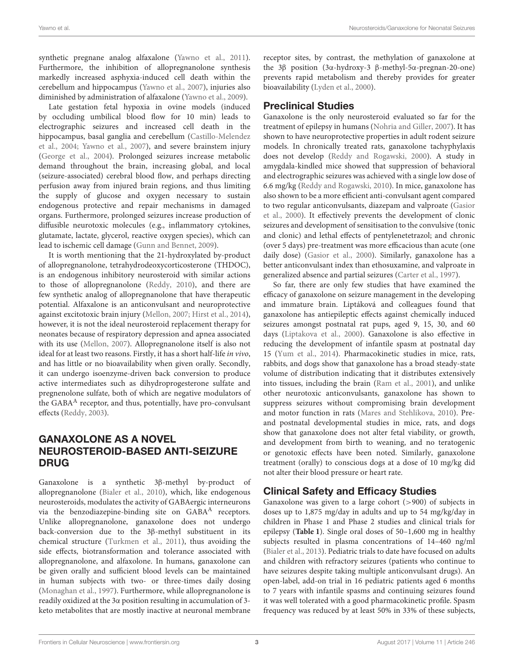synthetic pregnane analog alfaxalone [\(Yawno et al., 2011\)](#page-5-20). Furthermore, the inhibition of allopregnanolone synthesis markedly increased asphyxia-induced cell death within the cerebellum and hippocampus [\(Yawno et al., 2007\)](#page-6-1), injuries also diminished by administration of alfaxalone [\(Yawno et al., 2009\)](#page-5-21).

Late gestation fetal hypoxia in ovine models (induced by occluding umbilical blood flow for 10 min) leads to electrographic seizures and increased cell death in the hippocampus, basal ganglia and cerebellum (Castillo-Melendez et al., [2004;](#page-4-8) [Yawno et al., 2007\)](#page-6-1), and severe brainstem injury [\(George et al., 2004\)](#page-5-22). Prolonged seizures increase metabolic demand throughout the brain, increasing global, and local (seizure-associated) cerebral blood flow, and perhaps directing perfusion away from injured brain regions, and thus limiting the supply of glucose and oxygen necessary to sustain endogenous protective and repair mechanisms in damaged organs. Furthermore, prolonged seizures increase production of diffusible neurotoxic molecules (e.g., inflammatory cytokines, glutamate, lactate, glycerol, reactive oxygen species), which can lead to ischemic cell damage [\(Gunn and Bennet, 2009\)](#page-5-23).

It is worth mentioning that the 21-hydroxylated by-product of allopregnanolone, tetrahydrodeoxycorticosterone (THDOC), is an endogenous inhibitory neurosteroid with similar actions to those of allopregnanolone [\(Reddy, 2010\)](#page-5-24), and there are few synthetic analog of allopregnanolone that have therapeutic potential. Alfaxalone is an anticonvulsant and neuroprotective against excitotoxic brain injury [\(Mellon, 2007;](#page-5-25) [Hirst et al., 2014\)](#page-5-26), however, it is not the ideal neurosteroid replacement therapy for neonates because of respiratory depression and apnea associated with its use [\(Mellon, 2007\)](#page-5-25). Allopregnanolone itself is also not ideal for at least two reasons. Firstly, it has a short half-life in vivo, and has little or no bioavailability when given orally. Secondly, it can undergo isoenzyme-driven back conversion to produce active intermediates such as dihydroprogesterone sulfate and pregnenolone sulfate, both of which are negative modulators of the GABA<sup>A</sup> receptor, and thus, potentially, have pro-convulsant effects [\(Reddy, 2003\)](#page-5-27).

# GANAXOLONE AS A NOVEL NEUROSTEROID-BASED ANTI-SEIZURE DRUG

Ganaxolone is a synthetic 3β-methyl by-product of allopregnanolone [\(Bialer et al., 2010\)](#page-4-9), which, like endogenous neurosteroids, modulates the activity of GABAergic interneurons via the benzodiazepine-binding site on GABA<sup>A</sup> receptors. Unlike allopregnanolone, ganaxolone does not undergo back-conversion due to the 3β-methyl substituent in its chemical structure [\(Turkmen et al., 2011\)](#page-5-28), thus avoiding the side effects, biotransformation and tolerance associated with allopregnanolone, and alfaxolone. In humans, ganaxolone can be given orally and sufficient blood levels can be maintained in human subjects with two- or three-times daily dosing [\(Monaghan et al., 1997\)](#page-5-29). Furthermore, while allopregnanolone is readily oxidized at the 3α position resulting in accumulation of 3 keto metabolites that are mostly inactive at neuronal membrane receptor sites, by contrast, the methylation of ganaxolone at the 3β position (3α-hydroxy-3 β-methyl-5α-pregnan-20-one) prevents rapid metabolism and thereby provides for greater bioavailability [\(Lyden et al., 2000\)](#page-5-30).

# Preclinical Studies

Ganaxolone is the only neurosteroid evaluated so far for the treatment of epilepsy in humans [\(Nohria and Giller, 2007\)](#page-5-31). It has shown to have neuroprotective properties in adult rodent seizure models. In chronically treated rats, ganaxolone tachyphylaxis does not develop [\(Reddy and Rogawski, 2000\)](#page-5-32). A study in amygdala-kindled mice showed that suppression of behavioral and electrographic seizures was achieved with a single low dose of 6.6 mg/kg [\(Reddy and Rogawski, 2010\)](#page-5-33). In mice, ganaxolone has also shown to be a more efficient anti-convulsant agent compared to two regular anticonvulsants, diazepam and valproate (Gasior et al., [2000\)](#page-5-34). It effectively prevents the development of clonic seizures and development of sensitisation to the convulsive (tonic and clonic) and lethal effects of pentylenetetrazol; and chronic (over 5 days) pre-treatment was more efficacious than acute (one daily dose) [\(Gasior et al., 2000\)](#page-5-34). Similarly, ganaxolone has a better anticonvulsant index than ethosuxamine, and valproate in generalized absence and partial seizures [\(Carter et al., 1997\)](#page-4-10).

So far, there are only few studies that have examined the efficacy of ganaxolone on seizure management in the developing and immature brain. Liptáková and colleagues found that ganaxolone has antiepileptic effects against chemically induced seizures amongst postnatal rat pups, aged 9, 15, 30, and 60 days [\(Liptakova et al., 2000\)](#page-5-35). Ganaxolone is also effective in reducing the development of infantile spasm at postnatal day 15 [\(Yum et al., 2014\)](#page-6-2). Pharmacokinetic studies in mice, rats, rabbits, and dogs show that ganaxolone has a broad steady-state volume of distribution indicating that it distributes extensively into tissues, including the brain [\(Ram et al., 2001\)](#page-5-36), and unlike other neurotoxic anticonvulsants, ganaxolone has shown to suppress seizures without compromising brain development and motor function in rats [\(Mares and Stehlikova, 2010\)](#page-5-37). Preand postnatal developmental studies in mice, rats, and dogs show that ganaxolone does not alter fetal viability, or growth, and development from birth to weaning, and no teratogenic or genotoxic effects have been noted. Similarly, ganaxolone treatment (orally) to conscious dogs at a dose of 10 mg/kg did not alter their blood pressure or heart rate.

# Clinical Safety and Efficacy Studies

Ganaxolone was given to a large cohort (>900) of subjects in doses up to 1,875 mg/day in adults and up to 54 mg/kg/day in children in Phase 1 and Phase 2 studies and clinical trials for epilepsy (**[Table 1](#page-3-0)**). Single oral doses of 50–1,600 mg in healthy subjects resulted in plasma concentrations of 14–460 ng/ml [\(Bialer et al., 2013\)](#page-4-11). Pediatric trials to date have focused on adults and children with refractory seizures (patients who continue to have seizures despite taking multiple anticonvulsant drugs). An open-label, add-on trial in 16 pediatric patients aged 6 months to 7 years with infantile spasms and continuing seizures found it was well tolerated with a good pharmacokinetic profile. Spasm frequency was reduced by at least 50% in 33% of these subjects,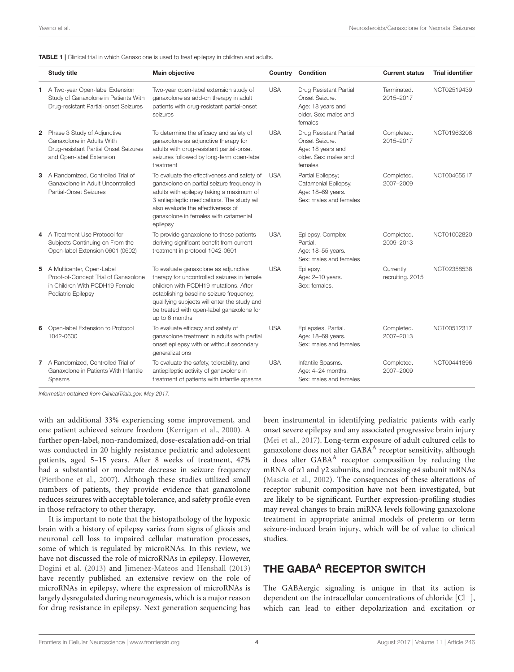<span id="page-3-0"></span>

|  |  | <b>TABLE 1</b>   Clinical trial in which Ganaxolone is used to treat epilepsy in children and adults. |
|--|--|-------------------------------------------------------------------------------------------------------|
|--|--|-------------------------------------------------------------------------------------------------------|

|   | <b>Study title</b>                                                                                                            | <b>Main objective</b>                                                                                                                                                                                                                                                                   |            | Country Condition                                                                                 | <b>Current status</b>         | <b>Trial identifier</b> |
|---|-------------------------------------------------------------------------------------------------------------------------------|-----------------------------------------------------------------------------------------------------------------------------------------------------------------------------------------------------------------------------------------------------------------------------------------|------------|---------------------------------------------------------------------------------------------------|-------------------------------|-------------------------|
|   | 1 A Two-year Open-label Extension<br>Study of Ganaxolone in Patients With<br>Drug-resistant Partial-onset Seizures            | Two-year open-label extension study of<br>ganaxolone as add-on therapy in adult<br>patients with drug-resistant partial-onset<br>seizures                                                                                                                                               | <b>USA</b> | Drug Resistant Partial<br>Onset Seizure.<br>Age: 18 years and<br>older. Sex: males and<br>females | Terminated.<br>2015-2017      | NCT02519439             |
| 2 | Phase 3 Study of Adjunctive<br>Ganaxolone in Adults With<br>Drug-resistant Partial Onset Seizures<br>and Open-label Extension | To determine the efficacy and safety of<br>ganaxolone as adjunctive therapy for<br>adults with drug-resistant partial-onset<br>seizures followed by long-term open-label<br>treatment                                                                                                   | <b>USA</b> | Drug Resistant Partial<br>Onset Seizure.<br>Age: 18 years and<br>older. Sex: males and<br>females | Completed.<br>2015-2017       | NCT01963208             |
| 3 | A Randomized, Controlled Trial of<br>Ganaxolone in Adult Uncontrolled<br>Partial-Onset Seizures                               | To evaluate the effectiveness and safety of<br>ganaxolone on partial seizure frequency in<br>adults with epilepsy taking a maximum of<br>3 antiepileptic medications. The study will<br>also evaluate the effectiveness of<br>ganaxolone in females with catamenial<br>epilepsy         | <b>USA</b> | Partial Epilepsy;<br>Catamenial Epilepsy.<br>Age: 18-69 years.<br>Sex: males and females          | Completed.<br>2007-2009       | NCT00465517             |
| 4 | A Treatment Use Protocol for<br>Subjects Continuing on From the<br>Open-label Extension 0601 (0602)                           | To provide ganaxolone to those patients<br>deriving significant benefit from current<br>treatment in protocol 1042-0601                                                                                                                                                                 | <b>USA</b> | Epilepsy, Complex<br>Partial.<br>Age: 18-55 years.<br>Sex: males and females                      | Completed.<br>2009-2013       | NCT01002820             |
|   | 5 A Multicenter, Open-Label<br>Proof-of-Concept Trial of Ganaxolone<br>in Children With PCDH19 Female<br>Pediatric Epilepsy   | To evaluate ganaxolone as adjunctive<br>therapy for uncontrolled seizures in female<br>children with PCDH19 mutations. After<br>establishing baseline seizure frequency,<br>qualifying subjects will enter the study and<br>be treated with open-label ganaxolone for<br>up to 6 months | <b>USA</b> | Epilepsy.<br>Age: 2-10 years.<br>Sex: females.                                                    | Currently<br>recruiting. 2015 | NCT02358538             |
| 6 | Open-label Extension to Protocol<br>1042-0600                                                                                 | To evaluate efficacy and safety of<br>ganaxolone treatment in adults with partial<br>onset epilepsy with or without secondary<br>generalizations                                                                                                                                        | <b>USA</b> | Epilepsies, Partial.<br>Age: 18-69 years.<br>Sex: males and females                               | Completed.<br>2007-2013       | NCT00512317             |
|   | 7 A Randomized. Controlled Trial of<br>Ganaxolone in Patients With Infantile<br>Spasms                                        | To evaluate the safety, tolerability, and<br>antiepileptic activity of ganaxolone in<br>treatment of patients with infantile spasms                                                                                                                                                     | <b>USA</b> | Infantile Spasms.<br>Age: 4-24 months.<br>Sex: males and females                                  | Completed.<br>2007-2009       | NCT00441896             |

*Information obtained from ClinicalTrials.gov. May 2017.*

with an additional 33% experiencing some improvement, and one patient achieved seizure freedom [\(Kerrigan et al., 2000\)](#page-5-38). A further open-label, non-randomized, dose-escalation add-on trial was conducted in 20 highly resistance pediatric and adolescent patients, aged 5–15 years. After 8 weeks of treatment, 47% had a substantial or moderate decrease in seizure frequency [\(Pieribone et al., 2007\)](#page-5-39). Although these studies utilized small numbers of patients, they provide evidence that ganaxolone reduces seizures with acceptable tolerance, and safety profile even in those refractory to other therapy.

It is important to note that the histopathology of the hypoxic brain with a history of epilepsy varies from signs of gliosis and neuronal cell loss to impaired cellular maturation processes, some of which is regulated by microRNAs. In this review, we have not discussed the role of microRNAs in epilepsy. However, [Dogini et al. \(2013\)](#page-4-12) and [Jimenez-Mateos and Henshall \(2013\)](#page-5-40) have recently published an extensive review on the role of microRNAs in epilepsy, where the expression of microRNAs is largely dysregulated during neurogenesis, which is a major reason for drug resistance in epilepsy. Next generation sequencing has been instrumental in identifying pediatric patients with early onset severe epilepsy and any associated progressive brain injury [\(Mei et al., 2017\)](#page-5-41). Long-term exposure of adult cultured cells to ganaxolone does not alter GABA<sup>A</sup> receptor sensitivity, although it does alter  $GABA<sup>A</sup>$  receptor composition by reducing the mRNA of  $\alpha$ 1 and  $\gamma$ 2 subunits, and increasing  $\alpha$ 4 subunit mRNAs [\(Mascia et al., 2002\)](#page-5-42). The consequences of these alterations of receptor subunit composition have not been investigated, but are likely to be significant. Further expression-profiling studies may reveal changes to brain miRNA levels following ganaxolone treatment in appropriate animal models of preterm or term seizure-induced brain injury, which will be of value to clinical studies.

# THE GABA<sup>A</sup> RECEPTOR SWITCH

The GABAergic signaling is unique in that its action is dependent on the intracellular concentrations of chloride [Cl−], which can lead to either depolarization and excitation or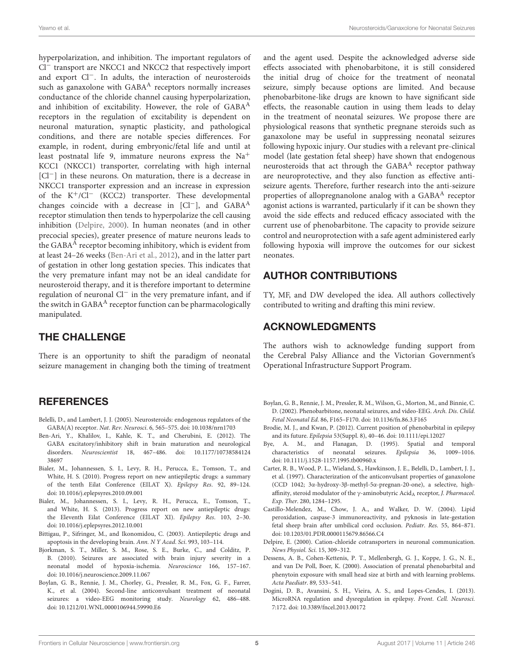hyperpolarization, and inhibition. The important regulators of Cl<sup>−</sup> transport are NKCC1 and NKCC2 that respectively import and export Cl−. In adults, the interaction of neurosteroids such as ganaxolone with  $GABA<sup>A</sup>$  receptors normally increases conductance of the chloride channel causing hyperpolarization, and inhibition of excitability. However, the role of GABA<sup>A</sup> receptors in the regulation of excitability is dependent on neuronal maturation, synaptic plasticity, and pathological conditions, and there are notable species differences. For example, in rodent, during embryonic/fetal life and until at least postnatal life 9, immature neurons express the  $Na<sup>+</sup>$ KCC1 (NKCC1) transporter, correlating with high internal [Cl−] in these neurons. On maturation, there is a decrease in NKCC1 transporter expression and an increase in expression of the  $K^+/Cl^-$  (KCC2) transporter. These developmental changes coincide with a decrease in  $[Cl^-]$ , and  $GABA^A$ receptor stimulation then tends to hyperpolarize the cell causing inhibition [\(Delpire, 2000\)](#page-4-13). In human neonates (and in other precocial species), greater presence of mature neurons leads to the GABA $^{\rm A}$  receptor becoming inhibitory, which is evident from at least 24–26 weeks [\(Ben-Ari et al., 2012\)](#page-4-14), and in the latter part of gestation in other long gestation species. This indicates that the very premature infant may not be an ideal candidate for neurosteroid therapy, and it is therefore important to determine regulation of neuronal Cl<sup>−</sup> in the very premature infant, and if the switch in  $GABA<sup>A</sup>$  receptor function can be pharmacologically manipulated.

### THE CHALLENGE

There is an opportunity to shift the paradigm of neonatal seizure management in changing both the timing of treatment

### **REFERENCES**

- <span id="page-4-7"></span>Belelli, D., and Lambert, J. J. (2005). Neurosteroids: endogenous regulators of the GABA(A) receptor. Nat. Rev. Neurosci. 6, 565–575. doi: [10.1038/nrn1703](https://doi.org/10.1038/nrn1703)
- <span id="page-4-14"></span>Ben-Ari, Y., Khalilov, I., Kahle, K. T., and Cherubini, E. (2012). The GABA excitatory/inhibitory shift in brain maturation and neurological disorders. Neuroscientist [18, 467–486. doi: 10.1177/10738584124](https://doi.org/10.1177/1073858412438697) 38697
- <span id="page-4-9"></span>Bialer, M., Johannessen, S. I., Levy, R. H., Perucca, E., Tomson, T., and White, H. S. (2010). Progress report on new antiepileptic drugs: a summary of the tenth Eilat Conference (EILAT X). Epilepsy Res. 92, 89–124. doi: [10.1016/j.eplepsyres.2010.09.001](https://doi.org/10.1016/j.eplepsyres.2010.09.001)
- <span id="page-4-11"></span>Bialer, M., Johannessen, S. I., Levy, R. H., Perucca, E., Tomson, T., and White, H. S. (2013). Progress report on new antiepileptic drugs: the Eleventh Eilat Conference (EILAT XI). Epilepsy Res. 103, 2–30. doi: [10.1016/j.eplepsyres.2012.10.001](https://doi.org/10.1016/j.eplepsyres.2012.10.001)
- <span id="page-4-5"></span>Bittigau, P., Sifringer, M., and Ikonomidou, C. (2003). Antiepileptic drugs and apoptosis in the developing brain. Ann. N Y Acad. Sci. 993, 103–114.
- <span id="page-4-0"></span>Bjorkman, S. T., Miller, S. M., Rose, S. E., Burke, C., and Colditz, P. B. (2010). Seizures are associated with brain injury severity in a neonatal model of hypoxia-ischemia. Neuroscience 166, 157–167. doi: [10.1016/j.neuroscience.2009.11.067](https://doi.org/10.1016/j.neuroscience.2009.11.067)
- <span id="page-4-3"></span>Boylan, G. B., Rennie, J. M., Chorley, G., Pressler, R. M., Fox, G. F., Farrer, K., et al. (2004). Second-line anticonvulsant treatment of neonatal seizures: a video-EEG monitoring study. Neurology 62, 486–488. doi: [10.1212/01.WNL.0000106944.59990.E6](https://doi.org/10.1212/01.WNL.0000106944.59990.E6)

and the agent used. Despite the acknowledged adverse side effects associated with phenobarbitone, it is still considered the initial drug of choice for the treatment of neonatal seizure, simply because options are limited. And because phenobarbitone-like drugs are known to have significant side effects, the reasonable caution in using them leads to delay in the treatment of neonatal seizures. We propose there are physiological reasons that synthetic pregnane steroids such as ganaxolone may be useful in suppressing neonatal seizures following hypoxic injury. Our studies with a relevant pre-clinical model (late gestation fetal sheep) have shown that endogenous neurosteroids that act through the  $GABA<sup>A</sup>$  receptor pathway are neuroprotective, and they also function as effective antiseizure agents. Therefore, further research into the anti-seizure properties of allopregnanolone analog with a GABA<sup>A</sup> receptor agonist actions is warranted, particularly if it can be shown they avoid the side effects and reduced efficacy associated with the current use of phenobarbitone. The capacity to provide seizure control and neuroprotection with a safe agent administered early following hypoxia will improve the outcomes for our sickest neonates.

### AUTHOR CONTRIBUTIONS

TY, MF, and DW developed the idea. All authors collectively contributed to writing and drafting this mini review.

#### ACKNOWLEDGMENTS

The authors wish to acknowledge funding support from the Cerebral Palsy Alliance and the Victorian Government's Operational Infrastructure Support Program.

- <span id="page-4-2"></span>Boylan, G. B., Rennie, J. M., Pressler, R. M., Wilson, G., Morton, M., and Binnie, C. D. (2002). Phenobarbitone, neonatal seizures, and video-EEG. Arch. Dis. Child. Fetal Neonatal Ed. 86, F165–F170. doi: [10.1136/fn.86.3.F165](https://doi.org/10.1136/fn.86.3.F165)
- <span id="page-4-6"></span>Brodie, M. J., and Kwan, P. (2012). Current position of phenobarbital in epilepsy and its future. Epilepsia 53(Suppl. 8), 40–46. doi: [10.1111/epi.12027](https://doi.org/10.1111/epi.12027)
- <span id="page-4-1"></span>Bye, A. M., and Flanagan, D. (1995). Spatial and temporal characteristics of neonatal seizures. Epilepsia 36, 1009–1016. doi: [10.1111/j.1528-1157.1995.tb00960.x](https://doi.org/10.1111/j.1528-1157.1995.tb00960.x)
- <span id="page-4-10"></span>Carter, R. B., Wood, P. L., Wieland, S., Hawkinson, J. E., Belelli, D., Lambert, J. J., et al. (1997). Characterization of the anticonvulsant properties of ganaxolone (CCD 1042; 3α-hydroxy-3β-methyl-5α-pregnan-20-one), a selective, highaffinity, steroid modulator of the  $\gamma$ -aminobutyric Acid<sub>A</sub> receptor, J. Pharmacol. Exp. Ther. 280, 1284–1295.
- <span id="page-4-8"></span>Castillo-Melendez, M., Chow, J. A., and Walker, D. W. (2004). Lipid peroxidation, caspase-3 immunoreactivity, and pyknosis in late-gestation fetal sheep brain after umbilical cord occlusion. Pediatr. Res. 55, 864–871. doi: [10.1203/01.PDR.0000115679.86566.C4](https://doi.org/10.1203/01.PDR.0000115679.86566.C4)
- <span id="page-4-13"></span>Delpire, E. (2000). Cation-chloride cotransporters in neuronal communication. News Physiol. Sci. 15, 309–312.
- <span id="page-4-4"></span>Dessens, A. B., Cohen-Kettenis, P. T., Mellenbergh, G. J., Koppe, J. G., N. E., and van De Poll, Boer, K. (2000). Association of prenatal phenobarbital and phenytoin exposure with small head size at birth and with learning problems. Acta Paediatr. 89, 533–541.
- <span id="page-4-12"></span>Dogini, D. B., Avansini, S. H., Vieira, A. S., and Lopes-Cendes, I. (2013). MicroRNA regulation and dysregulation in epilepsy. Front. Cell. Neurosci. 7:172. doi: [10.3389/fncel.2013.00172](https://doi.org/10.3389/fncel.2013.00172)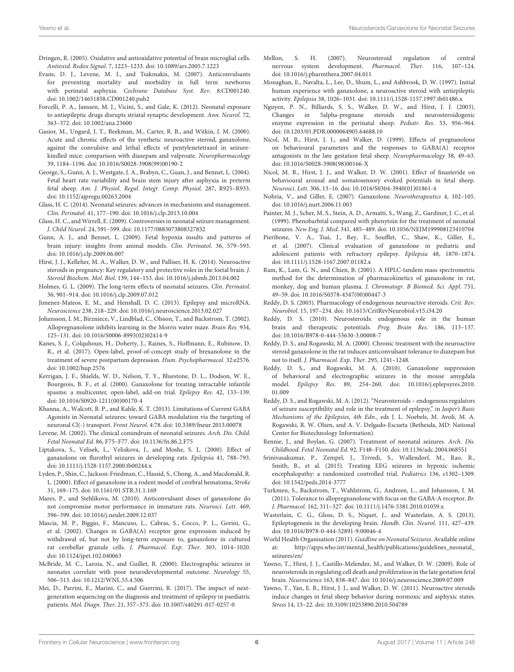- <span id="page-5-11"></span>Dringen, R. (2005). Oxidative and antioxidative potential of brain microglial cells. Antioxid. Redox Signal. 7, 1223–1233. doi: [10.1089/ars.2005.7.1223](https://doi.org/10.1089/ars.2005.7.1223)
- <span id="page-5-13"></span>Evans, D. J., Levene, M. I., and Tsakmakis, M. (2007). Anticonvulsants for preventing mortality and morbidity in full term newborns with perinatal asphyxia. Cochrane Database Syst. Rev. 8:CD001240. doi: [10.1002/14651858.CD001240.pub2](https://doi.org/10.1002/14651858.CD001240.pub2)
- <span id="page-5-12"></span>Forcelli, P. A., Janssen, M. J., Vicini, S., and Gale, K. (2012). Neonatal exposure to antiepileptic drugs disrupts striatal synaptic development. Ann. Neurol. 72, 363–372. doi: [10.1002/ana.23600](https://doi.org/10.1002/ana.23600)
- <span id="page-5-34"></span>Gasior, M., Ungard, J. T., Beekman, M., Carter, R. B., and Witkin, J. M. (2000). Acute and chronic effects of the synthetic neuroactive steroid, ganaxolone, against the convulsive and lethal effects of pentylenetetrazol in seizurekindled mice: comparison with diazepam and valproate. Neuropharmacology 39, 1184–1196. doi: [10.1016/S0028-3908\(99\)00190-2](https://doi.org/10.1016/S0028-3908(99)00190-2)
- <span id="page-5-22"></span>George, S., Gunn, A. J., Westgate, J. A., Brabyn, C., Guan, J., and Bennet, L. (2004). Fetal heart rate variability and brain stem injury after asphyxia in preterm fetal sheep. Am. J. Physiol. Regul. Integr. Comp. Physiol. 287, R925–R933. doi: [10.1152/ajpregu.00263.2004](https://doi.org/10.1152/ajpregu.00263.2004)
- <span id="page-5-1"></span>Glass, H. C. (2014). Neonatal seizures: advances in mechanisms and management. Clin. Perinatol. 41, 177–190. doi: [10.1016/j.clp.2013.10.004](https://doi.org/10.1016/j.clp.2013.10.004)
- <span id="page-5-3"></span>Glass, H. C., and Wirrell, E. (2009). Controversies in neonatal seizure management. J. Child Neurol. 24, 591–599. doi: [10.1177/0883073808327832](https://doi.org/10.1177/0883073808327832)
- <span id="page-5-23"></span>Gunn, A. J., and Bennet, L. (2009). Fetal hypoxia insults and patterns of brain injury: insights from animal models. Clin. Perinatol. 36, 579–593. doi: [10.1016/j.clp.2009.06.007](https://doi.org/10.1016/j.clp.2009.06.007)
- <span id="page-5-26"></span>Hirst, J. J., Kelleher, M. A., Walker, D. W., and Palliser, H. K. (2014). Neuroactive steroids in pregnancy: Key regulatory and protective roles in the foetal brain. J. Steroid Biochem. Mol. Biol. 139, 144–153. doi: [10.1016/j.jsbmb.2013.04.002](https://doi.org/10.1016/j.jsbmb.2013.04.002)
- <span id="page-5-4"></span>Holmes, G. L. (2009). The long-term effects of neonatal seizures. Clin. Perinatol. 36, 901–914. doi: [10.1016/j.clp.2009.07.012](https://doi.org/10.1016/j.clp.2009.07.012)
- <span id="page-5-40"></span>Jimenez-Mateos, E. M., and Henshall, D. C. (2013). Epilepsy and microRNA. Neuroscience 238, 218–229. doi: [10.1016/j.neuroscience.2013.02.027](https://doi.org/10.1016/j.neuroscience.2013.02.027)
- <span id="page-5-19"></span>Johansson, I. M., Birzniece, V., Lindblad, C., Olsson, T., and Backstrom, T. (2002). Allopregnanolone inhibits learning in the Morris water maze. Brain Res. 934, 125–131. doi: [10.1016/S0006-8993\(02\)02414-9](https://doi.org/10.1016/S0006-8993(02)02414-9)
- <span id="page-5-16"></span>Kanes, S. J., Colquhoun, H., Doherty, J., Raines, S., Hoffmann, E., Rubinow, D. R., et al. (2017). Open-label, proof-of-concept study of brexanolone in the treatment of severe postpartum depression. Hum. Psychopharmacol. 32:e2576. doi: [10.1002/hup.2576](https://doi.org/10.1002/hup.2576)
- <span id="page-5-38"></span>Kerrigan, J. F., Shields, W. D., Nelson, T. Y., Bluestone, D. L., Dodson, W. E., Bourgeois, B. F., et al. (2000). Ganaxolone for treating intractable infantile spasms: a multicenter, open-label, add-on trial. Epilepsy Res. 42, 133–139. doi: [10.1016/S0920-1211\(00\)00170-4](https://doi.org/10.1016/S0920-1211(00)00170-4)
- <span id="page-5-0"></span>Khanna, A., Walcott, B. P., and Kahle, K. T. (2013). Limitations of Current GABA Agonists in Neonatal seizures: toward GABA modulation via the targeting of neuronal Cl(-) transport. Front Neurol. 4:78. doi: [10.3389/fneur.2013.00078](https://doi.org/10.3389/fneur.2013.00078)
- <span id="page-5-10"></span>Levene, M. (2002). The clinical conundrum of neonatal seizures. Arch. Dis. Child. Fetal Neonatal Ed. 86, F75–F77. doi: [10.1136/fn.86.2.F75](https://doi.org/10.1136/fn.86.2.F75)
- <span id="page-5-35"></span>Liptakova, S., Velisek, L., Veliskova, J., and Moshe, S. L. (2000). Effect of ganaxolone on flurothyl seizures in developing rats. Epilepsia 41, 788–793. doi: [10.1111/j.1528-1157.2000.tb00244.x](https://doi.org/10.1111/j.1528-1157.2000.tb00244.x)
- <span id="page-5-30"></span>Lyden, P., Shin, C., Jackson-Friedman, C., Hassid, S., Chong, A., and Macdonald, R. L. (2000). Effect of ganaxolone in a rodent model of cerebral hematoma, Stroke 31, 169–175. doi: [10.1161/01.STR.31.1.169](https://doi.org/10.1161/01.STR.31.1.169)
- <span id="page-5-37"></span>Mares, P., and Stehlikova, M. (2010). Anticonvulsant doses of ganaxolone do not compromise motor performance in immature rats. Neurosci. Lett. 469, 396–399. doi: [10.1016/j.neulet.2009.12.037](https://doi.org/10.1016/j.neulet.2009.12.037)
- <span id="page-5-42"></span>Mascia, M. P., Biggio, F., Mancuso, L., Cabras, S., Cocco, P. L., Gorini, G., et al. (2002). Changes in GABA(A) receptor gene expression induced by withdrawal of, but not by long-term exposure to, ganaxolone in cultured rat cerebellar granule cells. J. Pharmacol. Exp. Ther. 303, 1014–1020. doi: [10.1124/jpet.102.040063](https://doi.org/10.1124/jpet.102.040063)
- <span id="page-5-2"></span>McBride, M. C., Laroia, N., and Guillet, R. (2000). Electrographic seizures in neonates correlate with poor neurodevelopmental outcome. Neurology 55, 506–513. doi: [10.1212/WNL.55.4.506](https://doi.org/10.1212/WNL.55.4.506)
- <span id="page-5-41"></span>Mei, D., Parrini, E., Marini, C., and Guerrini, R. (2017). The impact of nextgeneration sequencing on the diagnosis and treatment of epilepsy in paediatric patients. Mol. Diagn. Ther. 21, 357–373. doi: [10.1007/s40291-017-0257-0](https://doi.org/10.1007/s40291-017-0257-0)
- <span id="page-5-25"></span>Mellon, S. H. (2007). Neurosteroid regulation of central nervous system development. Pharmacol. Ther. 116, 107–124. doi: [10.1016/j.pharmthera.2007.04.011](https://doi.org/10.1016/j.pharmthera.2007.04.011)
- <span id="page-5-29"></span>Monaghan, E., Navalta, L., Lee, D., Shum, L., and Ashbrook, D. W. (1997). Initial human experience with ganaxolone, a neuroactive steroid with antiepileptic activity. Epilepsia 38, 1026–1031. doi: [10.1111/j.1528-1157.1997.tb01486.x](https://doi.org/10.1111/j.1528-1157.1997.tb01486.x)
- <span id="page-5-15"></span>Nguyen, P. N., Billiards, S. S., Walker, D. W., and Hirst, J. J. (2003). Changes in 5alpha-pregnane steroids and neurosteroidogenic enzyme expression in the perinatal sheep. Pediatr. Res. 53, 956–964. doi: [10.1203/01.PDR.0000064905.64688.10](https://doi.org/10.1203/01.PDR.0000064905.64688.10)
- <span id="page-5-17"></span>Nicol, M. B., Hirst, J. J., and Walker, D. (1999). Effects of pregnanolone on behavioural parameters and the responses to GABA(A) receptor antagonists in the late gestation fetal sheep. Neuropharmacology 38, 49–63. doi: [10.1016/S0028-3908\(98\)00166-X](https://doi.org/10.1016/S0028-3908(98)00166-X)
- <span id="page-5-18"></span>Nicol, M. B., Hirst, J. J., and Walker, D. W. (2001). Effect of finasteride on behavioural arousal and somatosensory evoked potentials in fetal sheep. Neurosci. Lett. 306, 13–16. doi: [10.1016/S0304-3940\(01\)01861-4](https://doi.org/10.1016/S0304-3940(01)01861-4)
- <span id="page-5-31"></span>Nohria, V., and Giller, E. (2007). Ganaxolone. Neurotherapeutics 4, 102–105. doi: [10.1016/j.nurt.2006.11.003](https://doi.org/10.1016/j.nurt.2006.11.003)
- <span id="page-5-8"></span>Painter, M. J., Scher, M. S., Stein, A. D., Armatti, S., Wang, Z., Gardiner, J. C., et al. (1999). Phenobarbital compared with phenytoin for the treatment of neonatal seizures. New Eng. J. Med. 341, 485–489. doi: [10.1056/NEJM199908123410704](https://doi.org/10.1056/NEJM199908123410704)
- <span id="page-5-39"></span>Pieribone, V. A., Tsai, J., Rey, E., Soufflet, C., Shaw, K., Giller, E., et al. (2007). Clinical evaluation of ganaxolone in pediatric and adolescent patients with refractory epilepsy. Epilepsia 48, 1870–1874. doi: [10.1111/j.1528-1167.2007.01182.x](https://doi.org/10.1111/j.1528-1167.2007.01182.x)
- <span id="page-5-36"></span>Ram, K., Lam, G. N., and Chien, B. (2001). A HPLC-tandem mass spectrometric method for the determination of pharmacokinetics of ganaxolone in rat, monkey, dog and human plasma. J. Chromatogr. B Biomed. Sci. Appl. 751, 49–59. doi: [10.1016/S0378-4347\(00\)00447-3](https://doi.org/10.1016/S0378-4347(00)00447-3)
- <span id="page-5-27"></span>Reddy, D. S. (2003). Pharmacology of endogenous neuroactive steroids. Crit. Rev. Neurobiol. 15, 197–234. doi: [10.1615/CritRevNeurobiol.v15.i34.20](https://doi.org/10.1615/CritRevNeurobiol.v15.i34.20)
- <span id="page-5-24"></span>Reddy, D. S. (2010). Neurosteroids: endogenous role in the human brain and therapeutic potentials. Prog. Brain Res. 186, 113–137. doi: [10.1016/B978-0-444-53630-3.00008-7](https://doi.org/10.1016/B978-0-444-53630-3.00008-7)
- <span id="page-5-32"></span>Reddy, D. S., and Rogawski, M. A. (2000). Chronic treatment with the neuroactive steroid ganaxolone in the rat induces anticonvulsant tolerance to diazepam but not to itself. J. Pharmacol. Exp. Ther. 295, 1241–1248.
- <span id="page-5-33"></span>Reddy, D. S., and Rogawski, M. A. (2010). Ganaxolone suppression of behavioral and electrographic seizures in the mouse amygdala model. Epilepsy Res[. 89, 254–260. doi: 10.1016/j.eplepsyres.2010.](https://doi.org/10.1016/j.eplepsyres.2010.01.009) 01.009
- <span id="page-5-14"></span>Reddy, D. S., and Rogawski, M. A. (2012). "Neurosteroids – endogenous regulators of seizure susceptibility and role in the treatment of epilepsy," in Jasper's Basic Mechanisms of the Epilepsies, 4th Edn., eds J. L. Noebels, M. Avoli, M. A. Rogawski, R. W. Olsen, and A. V. Delgado-Escueta (Bethesda, MD: National Center for Biotechnology Information).
- <span id="page-5-9"></span>Rennie, J., and Boylan, G. (2007). Treatment of neonatal seizures. Arch. Dis. Childhood. Fetal Neonatal Ed. 92, F148–F150. doi: [10.1136/adc.2004.068551](https://doi.org/10.1136/adc.2004.068551)
- <span id="page-5-5"></span>Srinivasakumar, P., Zempel, J., Trivedi, S., Wallendorf, M., Rao, R., Smith, B., et al. (2015). Treating EEG seizures in hypoxic ischemic encephalopathy: a randomized controlled trial. Pediatrics 136, e1302–1309. doi: [10.1542/peds.2014-3777](https://doi.org/10.1542/peds.2014-3777)
- <span id="page-5-28"></span>Turkmen, S., Backstrom, T., Wahlstrom, G., Andreen, L., and Johansson, I. M. (2011). Tolerance to allopregnanolone with focus on the GABA-A receptor. Br. J. Pharmacol. 162, 311–327. doi: [10.1111/j.1476-5381.2010.01059.x](https://doi.org/10.1111/j.1476-5381.2010.01059.x)
- <span id="page-5-6"></span>Wasterlain, C. G., Gloss, D. S., Niquet, J., and Wasterlain, A. S. (2013). Epileptogenesis in the developing brain. Handb. Clin. Neurol. 111, 427–439. doi: [10.1016/B978-0-444-52891-9.00046-4](https://doi.org/10.1016/B978-0-444-52891-9.00046-4)
- <span id="page-5-7"></span>World Health Organisation (2011). Guidline on Neonatal Seizures. Available online at: [http://apps.who.int/mental\\_health/publications/guidelines\\_neonatal\\_](http://apps.who.int/mental_health/publications/guidelines_neonatal_seizures/en/) [seizures/en/](http://apps.who.int/mental_health/publications/guidelines_neonatal_seizures/en/)
- <span id="page-5-21"></span>Yawno, T., Hirst, J. J., Castillo-Melendez, M., and Walker, D. W. (2009). Role of neurosteroids in regulating cell death and proliferation in the late gestation fetal brain. Neuroscience 163, 838–847. doi: [10.1016/j.neuroscience.2009.07.009](https://doi.org/10.1016/j.neuroscience.2009.07.009)
- <span id="page-5-20"></span>Yawno, T., Yan, E. B., Hirst, J. J., and Walker, D. W. (2011). Neuroactive steroids induce changes in fetal sheep behavior during normoxic and asphyxic states. Stress 14, 13–22. doi: [10.3109/10253890.2010.504789](https://doi.org/10.3109/10253890.2010.504789)